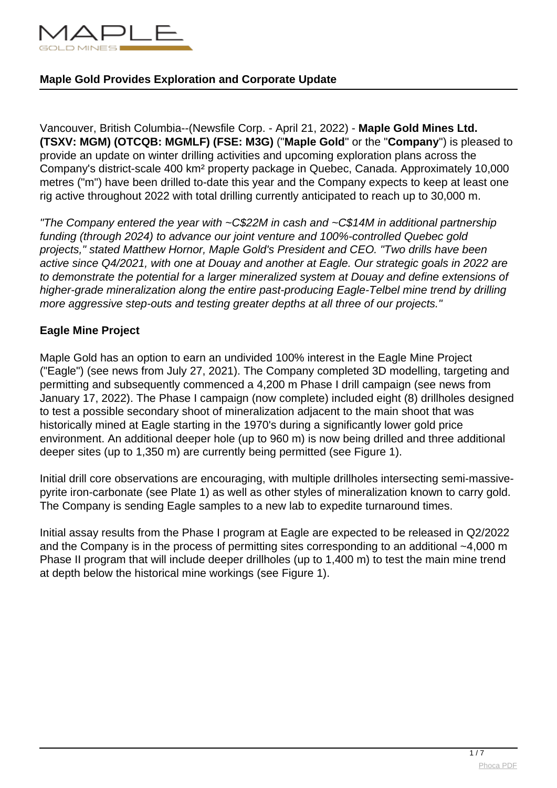

Vancouver, British Columbia--(Newsfile Corp. - April 21, 2022) - **Maple Gold Mines Ltd. (TSXV: MGM) (OTCQB: MGMLF) (FSE: M3G)** ("**Maple Gold**" or the "**Company**") is pleased to provide an update on winter drilling activities and upcoming exploration plans across the Company's district-scale 400 km² property package in Quebec, Canada. Approximately 10,000 metres ("m") have been drilled to-date this year and the Company expects to keep at least one rig active throughout 2022 with total drilling currently anticipated to reach up to 30,000 m.

"The Company entered the year with ~C\$22M in cash and ~C\$14M in additional partnership funding (through 2024) to advance our joint venture and 100%-controlled Quebec gold projects," stated Matthew Hornor, Maple Gold's President and CEO. "Two drills have been active since Q4/2021, with one at Douay and another at Eagle. Our strategic goals in 2022 are to demonstrate the potential for a larger mineralized system at Douay and define extensions of higher-grade mineralization along the entire past-producing Eagle-Telbel mine trend by drilling more aggressive step-outs and testing greater depths at all three of our projects."

### **Eagle Mine Project**

Maple Gold has an option to earn an undivided 100% interest in the Eagle Mine Project ("Eagle") (see news from July 27, 2021). The Company completed 3D modelling, targeting and permitting and subsequently commenced a 4,200 m Phase I drill campaign (see news from January 17, 2022). The Phase I campaign (now complete) included eight (8) drillholes designed to test a possible secondary shoot of mineralization adjacent to the main shoot that was historically mined at Eagle starting in the 1970's during a significantly lower gold price environment. An additional deeper hole (up to 960 m) is now being drilled and three additional deeper sites (up to 1,350 m) are currently being permitted (see Figure 1).

Initial drill core observations are encouraging, with multiple drillholes intersecting semi-massivepyrite iron-carbonate (see Plate 1) as well as other styles of mineralization known to carry gold. The Company is sending Eagle samples to a new lab to expedite turnaround times.

Initial assay results from the Phase I program at Eagle are expected to be released in Q2/2022 and the Company is in the process of permitting sites corresponding to an additional ~4,000 m Phase II program that will include deeper drillholes (up to 1,400 m) to test the main mine trend at depth below the historical mine workings (see Figure 1).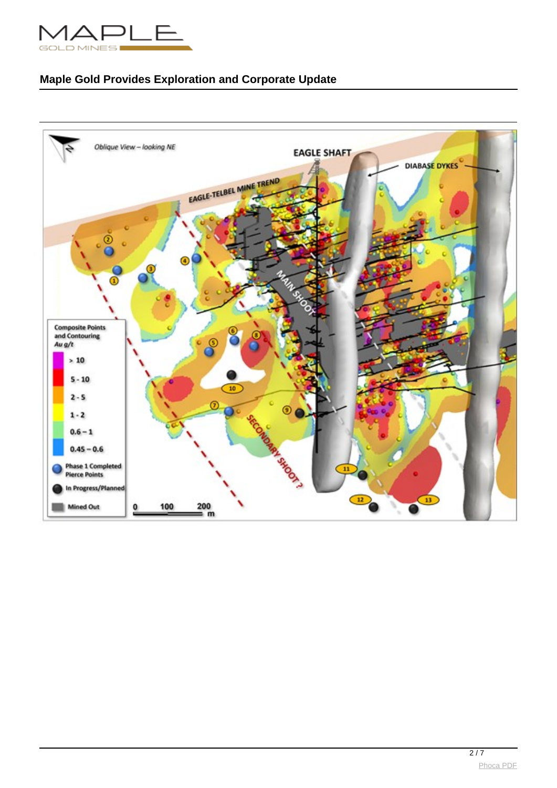

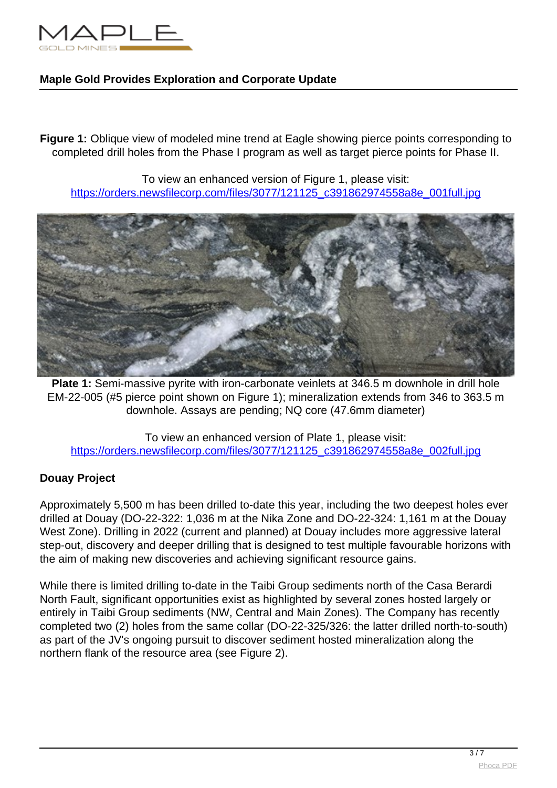

**Figure 1:** Oblique view of modeled mine trend at Eagle showing pierce points corresponding to completed drill holes from the Phase I program as well as target pierce points for Phase II.

To view an enhanced version of Figure 1, please visit: [https://orders.newsfilecorp.com/files/3077/121125\\_c391862974558a8e\\_001full.jpg](https://orders.newsfilecorp.com/files/3077/121125_c391862974558a8e_001full.jpg)



**Plate 1:** Semi-massive pyrite with iron-carbonate veinlets at 346.5 m downhole in drill hole EM-22-005 (#5 pierce point shown on Figure 1); mineralization extends from 346 to 363.5 m downhole. Assays are pending; NQ core (47.6mm diameter)

To view an enhanced version of Plate 1, please visit: [https://orders.newsfilecorp.com/files/3077/121125\\_c391862974558a8e\\_002full.jpg](https://orders.newsfilecorp.com/files/3077/121125_c391862974558a8e_002full.jpg)

# **Douay Project**

Approximately 5,500 m has been drilled to-date this year, including the two deepest holes ever drilled at Douay (DO-22-322: 1,036 m at the Nika Zone and DO-22-324: 1,161 m at the Douay West Zone). Drilling in 2022 (current and planned) at Douay includes more aggressive lateral step-out, discovery and deeper drilling that is designed to test multiple favourable horizons with the aim of making new discoveries and achieving significant resource gains.

While there is limited drilling to-date in the Taibi Group sediments north of the Casa Berardi North Fault, significant opportunities exist as highlighted by several zones hosted largely or entirely in Taibi Group sediments (NW, Central and Main Zones). The Company has recently completed two (2) holes from the same collar (DO-22-325/326: the latter drilled north-to-south) as part of the JV's ongoing pursuit to discover sediment hosted mineralization along the northern flank of the resource area (see Figure 2).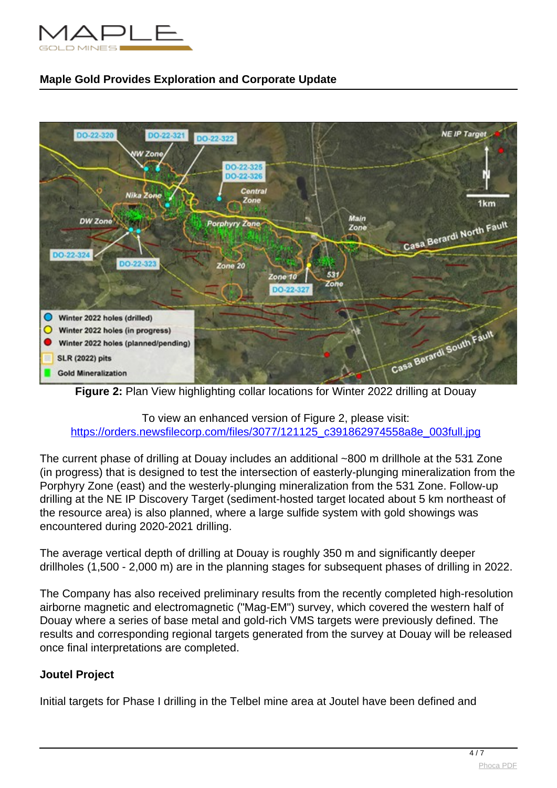



**Figure 2:** Plan View highlighting collar locations for Winter 2022 drilling at Douay

### To view an enhanced version of Figure 2, please visit: [https://orders.newsfilecorp.com/files/3077/121125\\_c391862974558a8e\\_003full.jpg](https://orders.newsfilecorp.com/files/3077/121125_c391862974558a8e_003full.jpg)

The current phase of drilling at Douay includes an additional ~800 m drillhole at the 531 Zone (in progress) that is designed to test the intersection of easterly-plunging mineralization from the Porphyry Zone (east) and the westerly-plunging mineralization from the 531 Zone. Follow-up drilling at the NE IP Discovery Target (sediment-hosted target located about 5 km northeast of the resource area) is also planned, where a large sulfide system with gold showings was encountered during 2020-2021 drilling.

The average vertical depth of drilling at Douay is roughly 350 m and significantly deeper drillholes (1,500 - 2,000 m) are in the planning stages for subsequent phases of drilling in 2022.

The Company has also received preliminary results from the recently completed high-resolution airborne magnetic and electromagnetic ("Mag-EM") survey, which covered the western half of Douay where a series of base metal and gold-rich VMS targets were previously defined. The results and corresponding regional targets generated from the survey at Douay will be released once final interpretations are completed.

# **Joutel Project**

Initial targets for Phase I drilling in the Telbel mine area at Joutel have been defined and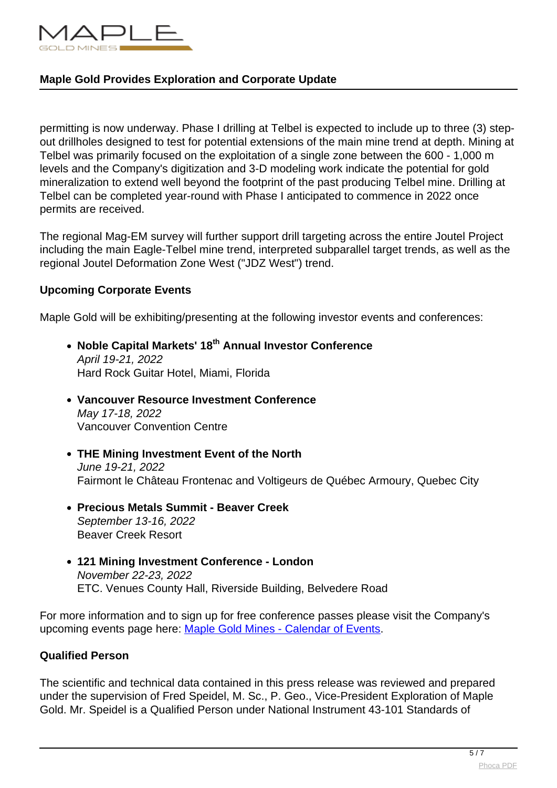

permitting is now underway. Phase I drilling at Telbel is expected to include up to three (3) stepout drillholes designed to test for potential extensions of the main mine trend at depth. Mining at Telbel was primarily focused on the exploitation of a single zone between the 600 - 1,000 m levels and the Company's digitization and 3-D modeling work indicate the potential for gold mineralization to extend well beyond the footprint of the past producing Telbel mine. Drilling at Telbel can be completed year-round with Phase I anticipated to commence in 2022 once permits are received.

The regional Mag-EM survey will further support drill targeting across the entire Joutel Project including the main Eagle-Telbel mine trend, interpreted subparallel target trends, as well as the regional Joutel Deformation Zone West ("JDZ West") trend.

### **Upcoming Corporate Events**

Maple Gold will be exhibiting/presenting at the following investor events and conferences:

- **Noble Capital Markets' 18th Annual Investor Conference** April 19-21, 2022 Hard Rock Guitar Hotel, Miami, Florida
- **Vancouver Resource Investment Conference** May 17-18, 2022 Vancouver Convention Centre
- **THE Mining Investment Event of the North** June 19-21, 2022 Fairmont le Château Frontenac and Voltigeurs de Québec Armoury, Quebec City
- **Precious Metals Summit Beaver Creek** September 13-16, 2022 Beaver Creek Resort
- **121 Mining Investment Conference London** November 22-23, 2022 ETC. Venues County Hall, Riverside Building, Belvedere Road

For more information and to sign up for free conference passes please visit the Company's upcoming events page here: [Maple Gold Mines - Calendar of Events.](https://www.newsfilecorp.com/redirect/Xn5LgcNMLw)

# **Qualified Person**

The scientific and technical data contained in this press release was reviewed and prepared under the supervision of Fred Speidel, M. Sc., P. Geo., Vice-President Exploration of Maple Gold. Mr. Speidel is a Qualified Person under National Instrument 43-101 Standards of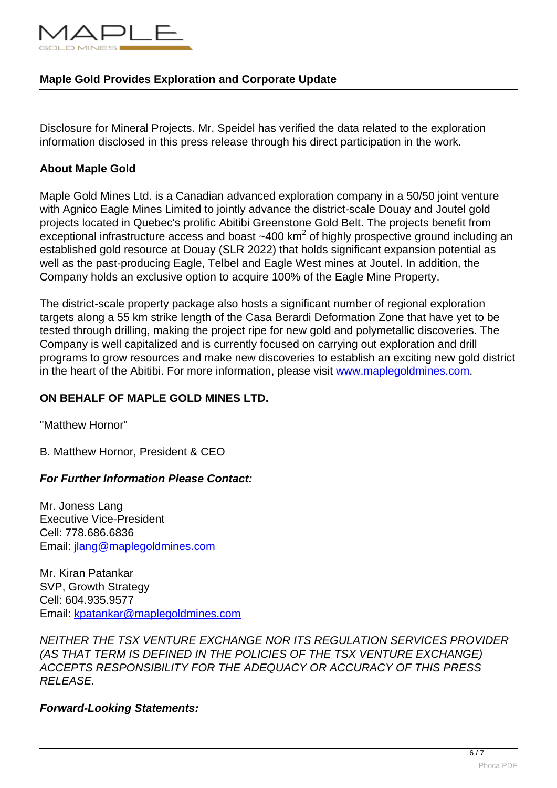

Disclosure for Mineral Projects. Mr. Speidel has verified the data related to the exploration information disclosed in this press release through his direct participation in the work.

#### **About Maple Gold**

Maple Gold Mines Ltd. is a Canadian advanced exploration company in a 50/50 joint venture with Agnico Eagle Mines Limited to jointly advance the district-scale Douay and Joutel gold projects located in Quebec's prolific Abitibi Greenstone Gold Belt. The projects benefit from exceptional infrastructure access and boast ~400 km<sup>2</sup> of highly prospective ground including an established gold resource at Douay (SLR 2022) that holds significant expansion potential as well as the past-producing Eagle, Telbel and Eagle West mines at Joutel. In addition, the Company holds an exclusive option to acquire 100% of the Eagle Mine Property.

The district-scale property package also hosts a significant number of regional exploration targets along a 55 km strike length of the Casa Berardi Deformation Zone that have yet to be tested through drilling, making the project ripe for new gold and polymetallic discoveries. The Company is well capitalized and is currently focused on carrying out exploration and drill programs to grow resources and make new discoveries to establish an exciting new gold district in the heart of the Abitibi. For more information, please visit [www.maplegoldmines.com](https://www.newsfilecorp.com/redirect/D38wXuWP81).

# **ON BEHALF OF MAPLE GOLD MINES LTD.**

"Matthew Hornor"

B. Matthew Hornor, President & CEO

# **For Further Information Please Contact:**

Mr. Joness Lang Executive Vice-President Cell: 778.686.6836 Email: [jlang@maplegoldmines.com](mailto:jlang@maplegoldmines.com)

Mr. Kiran Patankar SVP, Growth Strategy Cell: 604.935.9577 Email: [kpatankar@maplegoldmines.com](mailto:kpatankar@maplegoldmines.com)

NEITHER THE TSX VENTURE EXCHANGE NOR ITS REGULATION SERVICES PROVIDER (AS THAT TERM IS DEFINED IN THE POLICIES OF THE TSX VENTURE EXCHANGE) ACCEPTS RESPONSIBILITY FOR THE ADEQUACY OR ACCURACY OF THIS PRESS RELEASE.

**Forward-Looking Statements:**